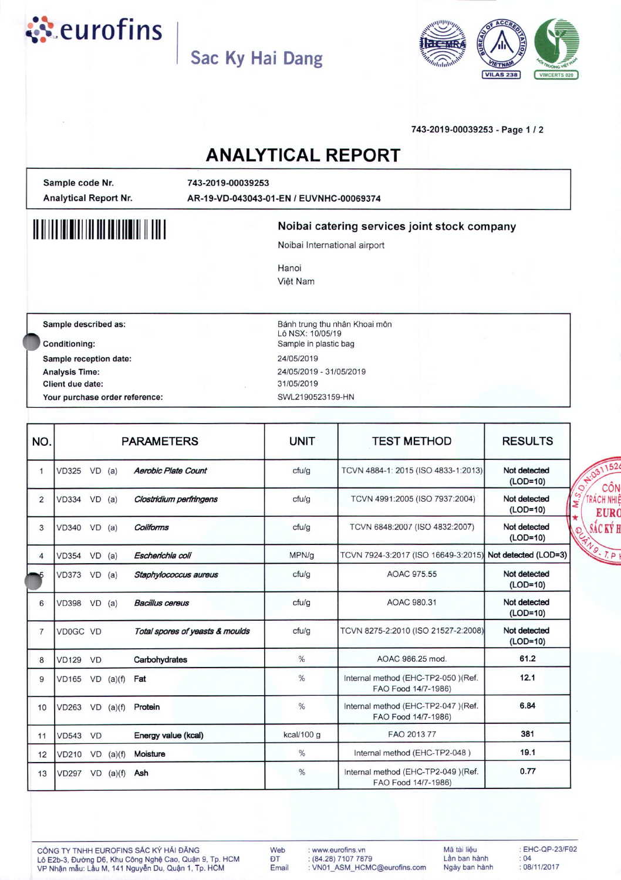

## **Sac Ky Hai Dang**



#### 743-2019-00039253 - Page 1 *12*

### **ANALYTICAL REPORT**

Sample code Nr. Analytical Report Nr. 743-2019-00039253 AR-19-VO-043043-01-EN *I* EUVNHC-00069374

# **" 1111111111111111111111111111111111**

#### Noibai catering services joint stock company

Noibai International airport

Hanoi Việt Nam

Sample described as:

Conditioning: Sample reception date: Analysis Time: Client due date: Your purchase order reference: Bánh trung thu nhân Khoai môn Lô NSX: 10/05/19 Sample in plastic bag *24/05/2019 24/05/2019 - 31/05/2019 31/05/2019* SWL2190523159-HN

| NO.            |                       |          |             | <b>PARAMETERS</b>               | <b>UNIT</b>   | <b>TEST METHOD</b>                                         | <b>RESULTS</b>                         |
|----------------|-----------------------|----------|-------------|---------------------------------|---------------|------------------------------------------------------------|----------------------------------------|
| $\mathbf{1}$   | VD325 VD (a)          |          |             | <b>Aerobic Plate Count</b>      | cfu/g         | TCVN 4884-1: 2015 (ISO 4833-1:2013)                        | Not detected<br>(LOD=10)               |
| 2              | $VD334$ $VD$ $(a)$    |          |             | Clostridium perfringens         | ctu/q         | TCVN 4991:2005 (ISO 7937:2004)                             | Not detected<br>(LOD=10)               |
| 3              | VD340 VD (a)          |          |             | Coliforms                       | cfu/g         | TCVN 6848:2007 (ISO 4832:2007)                             | Not detected<br>PERNO. T.P<br>(LOD=10) |
| 4              | <b>VD354</b>          | $VD$ (a) |             | Escherichia coli                | MPN/g         | TCVN 7924-3:2017 (ISO 16649-3:2015)                        | Not detected (LOD=3)                   |
|                | VD373 VD (a)          |          |             | Staphylococcus aureus           | cfu/g         | AOAC 975.55                                                | Not detected<br>(LOD=10)               |
| 6              | VD398 VD (a)          |          |             | <b>Bacillus cereus</b>          | cfu/g         | AOAC 980.31                                                | Not detected<br>(LOD=10)               |
| $\overline{7}$ | VD0GC VD              |          |             | Total spores of yeasts & moulds | cfu/g         | TCVN 8275-2:2010 (ISO 21527-2:2008)                        | Not detected<br>$(LOD=10)$             |
| 8              | <b>VD129 VD</b>       |          |             | Carbohydrates                   | $\frac{0}{0}$ | AOAC 986.25 mod.                                           | 61.2                                   |
| 9              | $VD165$ $VD$ $(a)(f)$ |          |             | Fat                             | %             | Internal method (EHC-TP2-050) (Ref.<br>FAO Food 14/7-1986) | 12.1                                   |
| 10             | $VD263$ $VD$ $(a)(f)$ |          |             | Protein                         | $\%$          | Internal method (EHC-TP2-047) (Ref.<br>FAO Food 14/7-1986) | 6.84                                   |
| 11             | <b>VD543 VD</b>       |          |             | Energy value (kcal)             | kcal/100 g    | FAO 2013 77                                                | 381                                    |
| 12             | <b>VD210</b>          |          | $VD$ (a)(f) | Moisture                        | %             | Internal method (EHC-TP2-048)                              | 19.1                                   |
| 13             | $VD297$ VD $(a)(f)$   |          |             | Ash                             | %             | Internal method (EHC-TP2-049)(Ref.<br>FAO Food 14/7-1986)  | 0.77                                   |

CÔNG TY TNHH EUROFINS SẮC KÝ HẢI ĐĂNG Lô E2b-3, Đường D6, Khu Công Nghệ Cao, Quận 9, Tp. HCM VP Nhận mẫu: Lầu M, 141 Nguyễn Du, Quận 1, Tp. HCM

Web **ĐT** Email : www.eurofins.vn : (84.28) 7107 7879 : VN01\_ASM\_HCMC@eurofins.com Mã tài liêu Lần ban hành Ngày ban hành : EHC-QP-23/F02 : 04 *: 08/11/2017*